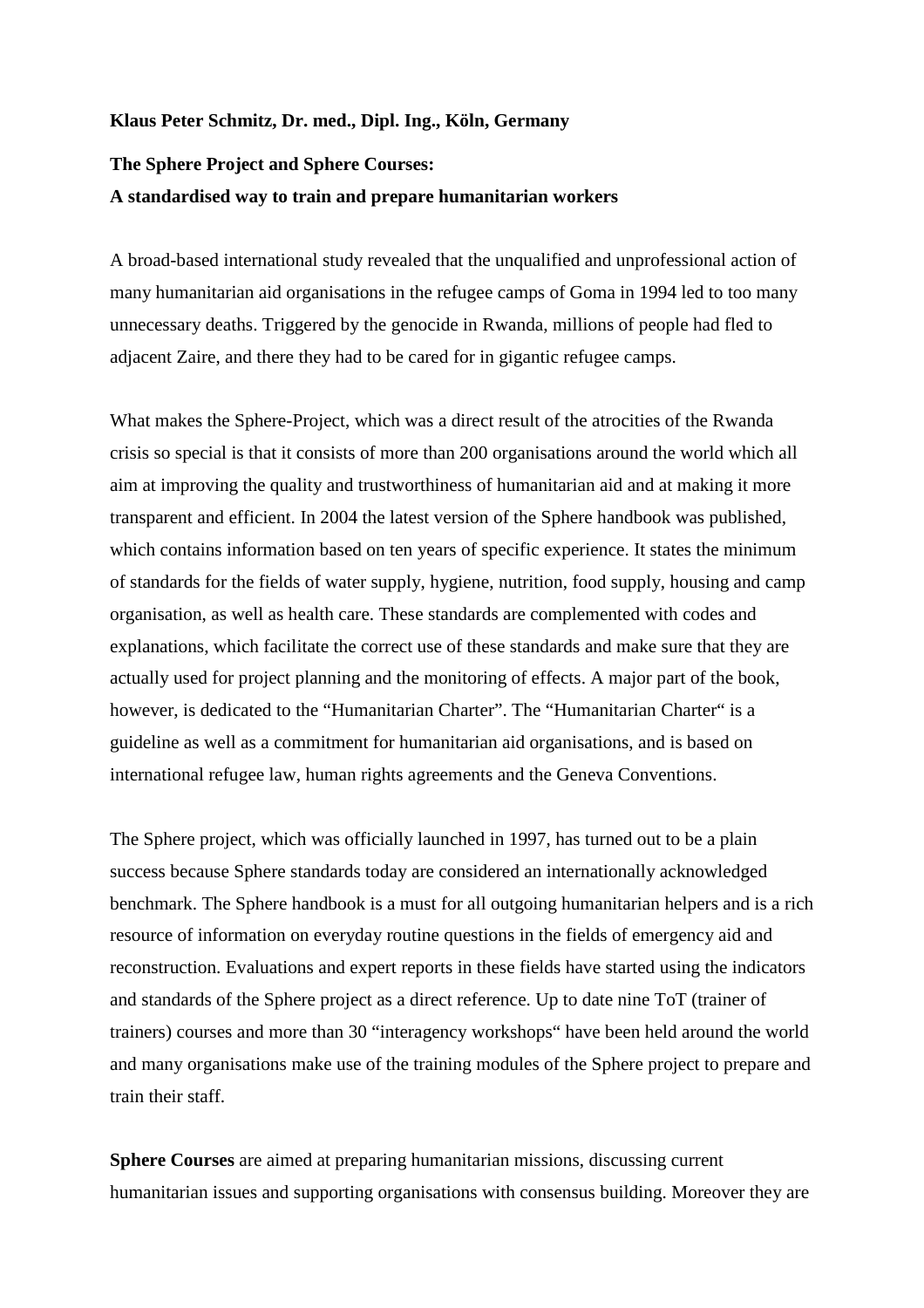## **Klaus Peter Schmitz, Dr. med., Dipl. Ing., Köln, Germany**

## **The Sphere Project and Sphere Courses: A standardised way to train and prepare humanitarian workers**

A broad-based international study revealed that the unqualified and unprofessional action of many humanitarian aid organisations in the refugee camps of Goma in 1994 led to too many unnecessary deaths. Triggered by the genocide in Rwanda, millions of people had fled to adjacent Zaire, and there they had to be cared for in gigantic refugee camps.

What makes the Sphere-Project, which was a direct result of the atrocities of the Rwanda crisis so special is that it consists of more than 200 organisations around the world which all aim at improving the quality and trustworthiness of humanitarian aid and at making it more transparent and efficient. In 2004 the latest version of the Sphere handbook was published, which contains information based on ten years of specific experience. It states the minimum of standards for the fields of water supply, hygiene, nutrition, food supply, housing and camp organisation, as well as health care. These standards are complemented with codes and explanations, which facilitate the correct use of these standards and make sure that they are actually used for project planning and the monitoring of effects. A major part of the book, however, is dedicated to the "Humanitarian Charter". The "Humanitarian Charter" is a guideline as well as a commitment for humanitarian aid organisations, and is based on international refugee law, human rights agreements and the Geneva Conventions.

The Sphere project, which was officially launched in 1997, has turned out to be a plain success because Sphere standards today are considered an internationally acknowledged benchmark. The Sphere handbook is a must for all outgoing humanitarian helpers and is a rich resource of information on everyday routine questions in the fields of emergency aid and reconstruction. Evaluations and expert reports in these fields have started using the indicators and standards of the Sphere project as a direct reference. Up to date nine ToT (trainer of trainers) courses and more than 30 "interagency workshops" have been held around the world and many organisations make use of the training modules of the Sphere project to prepare and train their staff.

**Sphere Courses** are aimed at preparing humanitarian missions, discussing current humanitarian issues and supporting organisations with consensus building. Moreover they are